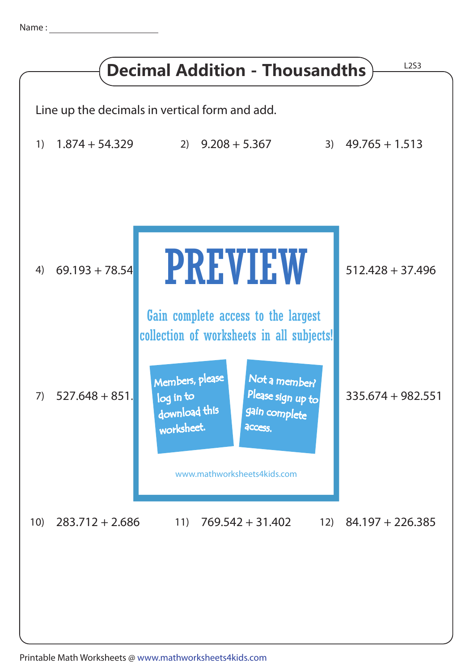